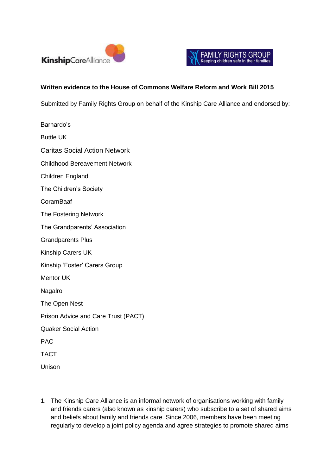



## **Written evidence to the House of Commons Welfare Reform and Work Bill 2015**

Submitted by Family Rights Group on behalf of the Kinship Care Alliance and endorsed by:

Barnardo's Buttle UK Caritas Social Action Network Childhood Bereavement Network Children England The Children's Society CoramBaaf The Fostering Network The Grandparents' Association Grandparents Plus Kinship Carers UK Kinship 'Foster' Carers Group Mentor UK Nagalro The Open Nest Prison Advice and Care Trust (PACT) Quaker Social Action PAC TACT Unison

1. The Kinship Care Alliance is an informal network of organisations working with family and friends carers (also known as kinship carers) who subscribe to a set of shared aims and beliefs about family and friends care. Since 2006, members have been meeting regularly to develop a joint policy agenda and agree strategies to promote shared aims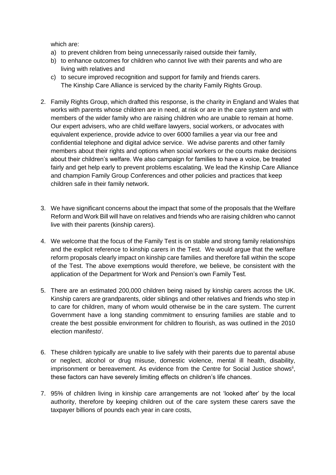which are:

- a) to prevent children from being unnecessarily raised outside their family,
- b) to enhance outcomes for children who cannot live with their parents and who are living with relatives and
- c) to secure improved recognition and support for family and friends carers. The Kinship Care Alliance is serviced by the charity Family Rights Group.
- 2. Family Rights Group, which drafted this response, is the charity in England and Wales that works with parents whose children are in need, at risk or are in the care system and with members of the wider family who are raising children who are unable to remain at home. Our expert advisers, who are child welfare lawyers, social workers, or advocates with equivalent experience, provide advice to over 6000 families a year via our free and confidential telephone and digital advice service. We advise parents and other family members about their rights and options when social workers or the courts make decisions about their children's welfare. We also campaign for families to have a voice, be treated fairly and get help early to prevent problems escalating. We lead the Kinship Care Alliance and champion Family Group Conferences and other policies and practices that keep children safe in their family network.
- 3. We have significant concerns about the impact that some of the proposals that the Welfare Reform and Work Bill will have on relatives and friends who are raising children who cannot live with their parents (kinship carers).
- 4. We welcome that the focus of the Family Test is on stable and strong family relationships and the explicit reference to kinship carers in the Test. We would argue that the welfare reform proposals clearly impact on kinship care families and therefore fall within the scope of the Test. The above exemptions would therefore, we believe, be consistent with the application of the Department for Work and Pension's own Family Test.
- 5. There are an estimated 200,000 children being raised by kinship carers across the UK. Kinship carers are grandparents, older siblings and other relatives and friends who step in to care for children, many of whom would otherwise be in the care system. The current Government have a long standing commitment to ensuring families are stable and to create the best possible environment for children to flourish, as was outlined in the 2010 election manifesto<sup>i</sup>.
- 6. These children typically are unable to live safely with their parents due to parental abuse or neglect, alcohol or drug misuse, domestic violence, mental ill health, disability, imprisonment or bereavement. As evidence from the Centre for Social Justice shows<sup>ii</sup>, these factors can have severely limiting effects on children's life chances.
- 7. 95% of children living in kinship care arrangements are not 'looked after' by the local authority, therefore by keeping children out of the care system these carers save the taxpayer billions of pounds each year in care costs,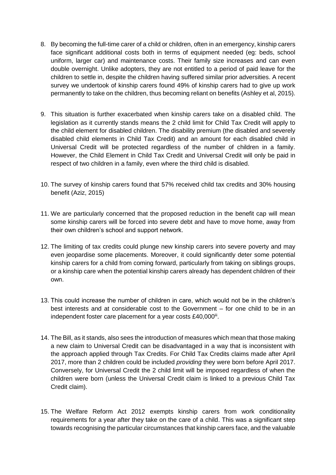- 8. By becoming the full-time carer of a child or children, often in an emergency, kinship carers face significant additional costs both in terms of equipment needed (eg: beds, school uniform, larger car) and maintenance costs. Their family size increases and can even double overnight. Unlike adopters, they are not entitled to a period of paid leave for the children to settle in, despite the children having suffered similar prior adversities. A recent survey we undertook of kinship carers found 49% of kinship carers had to give up work permanently to take on the children, thus becoming reliant on benefits (Ashley et al, 2015).
- 9. This situation is further exacerbated when kinship carers take on a disabled child. The legislation as it currently stands means the 2 child limit for Child Tax Credit will apply to the child element for disabled children. The disability premium (the disabled and severely disabled child elements in Child Tax Credit) and an amount for each disabled child in Universal Credit will be protected regardless of the number of children in a family. However, the Child Element in Child Tax Credit and Universal Credit will only be paid in respect of two children in a family, even where the third child is disabled.
- 10. The survey of kinship carers found that 57% received child tax credits and 30% housing benefit (Aziz, 2015)
- 11. We are particularly concerned that the proposed reduction in the benefit cap will mean some kinship carers will be forced into severe debt and have to move home, away from their own children's school and support network.
- 12. The limiting of tax credits could plunge new kinship carers into severe poverty and may even jeopardise some placements. Moreover, it could significantly deter some potential kinship carers for a child from coming forward, particularly from taking on siblings groups, or a kinship care when the potential kinship carers already has dependent children of their own.
- 13. This could increase the number of children in care, which would not be in the children's best interests and at considerable cost to the Government – for one child to be in an independent foster care placement for a year costs £40,000<sup>iii</sup>.
- 14. The Bill, as it stands, also sees the introduction of measures which mean that those making a new claim to Universal Credit can be disadvantaged in a way that is inconsistent with the approach applied through Tax Credits. For Child Tax Credits claims made after April 2017, more than 2 children could be included *providing* they were born before April 2017. Conversely, for Universal Credit the 2 child limit will be imposed regardless of when the children were born (unless the Universal Credit claim is linked to a previous Child Tax Credit claim).
- 15. The Welfare Reform Act 2012 exempts kinship carers from work conditionality requirements for a year after they take on the care of a child. This was a significant step towards recognising the particular circumstances that kinship carers face, and the valuable